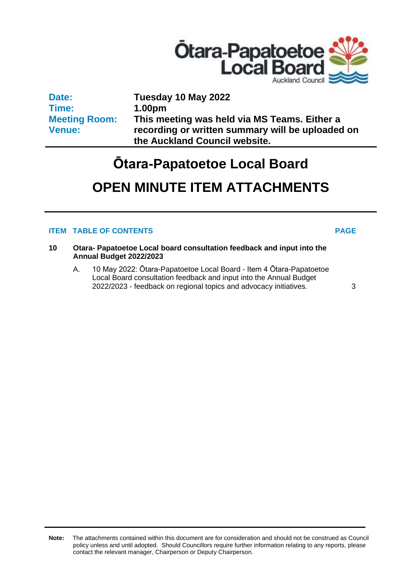

**Date: Time: Meeting Room: Venue:**

**Tuesday 10 May 2022 1.00pm This meeting was held via MS Teams. Either a recording or written summary will be uploaded on the Auckland Council website.**

# **Ōtara-Papatoetoe Local Board**

# **OPEN MINUTE ITEM ATTACHMENTS**

# **ITEM TABLE OF CONTENTS PAGE**

- **10 Otara- Papatoetoe Local board consultation feedback and input into the Annual Budget 2022/2023**
	- A. 10 May 2022: Ōtara-Papatoetoe Local Board Item 4 Ōtara-Papatoetoe Local Board consultation feedback and input into the Annual Budget 2022/2023 - feedback on regional topics and advocacy initiatives. [3](#page-2-0)

**Note:** The attachments contained within this document are for consideration and should not be construed as Council policy unless and until adopted. Should Councillors require further information relating to any reports, please contact the relevant manager, Chairperson or Deputy Chairperson.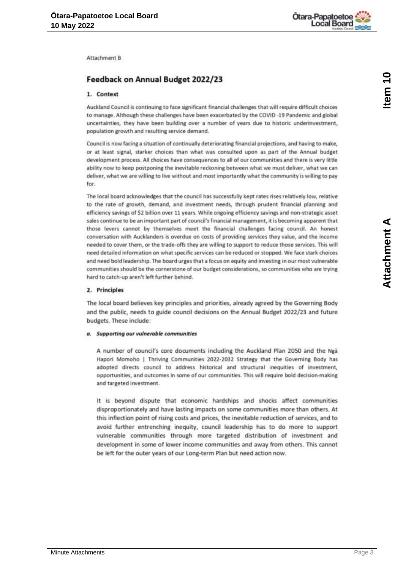

## <span id="page-2-0"></span>Feedback on Annual Budget 2022/23

#### 1. Context

Auckland Council is continuing to face significant financial challenges that will require difficult choices to manage. Although these challenges have been exacerbated by the COVID -19 Pandemic and global uncertainties, they have been building over a number of years due to historic underinvestment, population growth and resulting service demand.

Council is now facing a situation of continually deteriorating financial projections, and having to make, or at least signal, starker choices than what was consulted upon as part of the Annual budget development process. All choices have consequences to all of our communities and there is very little ability now to keep postponing the inevitable reckoning between what we must deliver, what we can deliver, what we are willing to live without and most importantly what the community is willing to pay for.

The local board acknowledges that the council has successfully kept rates rises relatively low, relative to the rate of growth, demand, and investment needs, through prudent financial planning and efficiency savings of \$2 billion over 11 years. While ongoing efficiency savings and non-strategic asset sales continue to be an important part of council's financial management, it is becoming apparent that those levers cannot by themselves meet the financial challenges facing council. An honest conversation with Aucklanders is overdue on costs of providing services they value, and the income needed to cover them, or the trade-offs they are willing to support to reduce those services. This will need detailed information on what specific services can be reduced or stopped. We face stark choices and need bold leadership. The board urges that a focus on equity and investing in our most vulnerable communities should be the cornerstone of our budget considerations, so communities who are trying hard to catch-up aren't left further behind.

#### 2. Principles

The local board believes key principles and priorities, already agreed by the Governing Body and the public, needs to guide council decisions on the Annual Budget 2022/23 and future budgets. These include:

#### a. Supporting our vulnerable communities

A number of council's core documents including the Auckland Plan 2050 and the Nga Hapori Momoho | Thriving Communities 2022-2032 Strategy that the Governing Body has adopted directs council to address historical and structural inequities of investment, opportunities, and outcomes in some of our communities. This will require bold decision-making and targeted investment.

It is beyond dispute that economic hardships and shocks affect communities disproportionately and have lasting impacts on some communities more than others. At this inflection point of rising costs and prices, the inevitable reduction of services, and to avoid further entrenching inequity, council leadership has to do more to support vulnerable communities through more targeted distribution of investment and development in some of lower income communities and away from others. This cannot be left for the outer years of our Long-term Plan but need action now.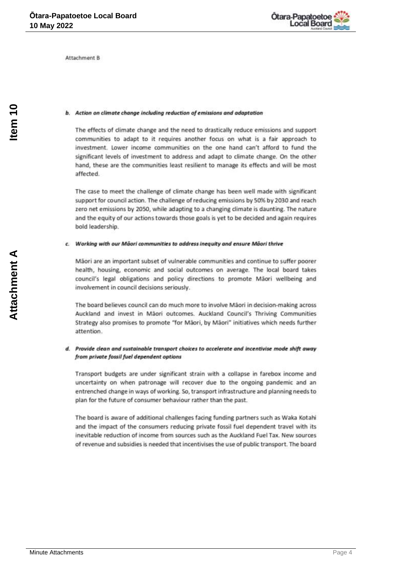

#### b. Action on climate change including reduction of emissions and adaptation

The effects of climate change and the need to drastically reduce emissions and support communities to adapt to it requires another focus on what is a fair approach to investment. Lower income communities on the one hand can't afford to fund the significant levels of investment to address and adapt to climate change. On the other hand, these are the communities least resilient to manage its effects and will be most affected.

The case to meet the challenge of climate change has been well made with significant support for council action. The challenge of reducing emissions by 50% by 2030 and reach zero net emissions by 2050, while adapting to a changing climate is daunting. The nature and the equity of our actions towards those goals is yet to be decided and again requires bold leadership.

#### c. Working with our Mäori communities to address inequity and ensure Mäori thrive

Mãori are an important subset of vulnerable communities and continue to suffer poorer health, housing, economic and social outcomes on average. The local board takes council's legal obligations and policy directions to promote Maori wellbeing and involvement in council decisions seriously.

The board believes council can do much more to involve Maori in decision-making across Auckland and invest in Mäori outcomes. Auckland Council's Thriving Communities Strategy also promises to promote "for Mãori, by Mãori" initiatives which needs further attention.

### d. Provide clean and sustainable transport choices to accelerate and incentivise mode shift away from private fossil fuel dependent options

Transport budgets are under significant strain with a collapse in farebox income and uncertainty on when patronage will recover due to the ongoing pandemic and an entrenched change in ways of working. So, transport infrastructure and planning needs to plan for the future of consumer behaviour rather than the past.

The board is aware of additional challenges facing funding partners such as Waka Kotahi and the impact of the consumers reducing private fossil fuel dependent travel with its inevitable reduction of income from sources such as the Auckland Fuel Tax. New sources of revenue and subsidies is needed that incentivises the use of public transport. The board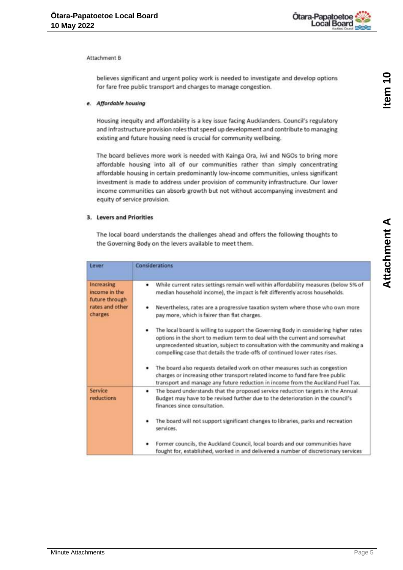

believes significant and urgent policy work is needed to investigate and develop options for fare free public transport and charges to manage congestion.

#### e. Affordable housing

Housing inequity and affordability is a key issue facing Aucklanders. Council's regulatory and infrastructure provision roles that speed up development and contribute to managing existing and future housing need is crucial for community wellbeing.

The board believes more work is needed with Kainga Ora, iwi and NGOs to bring more affordable housing into all of our communities rather than simply concentrating affordable housing in certain predominantly low-income communities, unless significant investment is made to address under provision of community infrastructure. Our lower income communities can absorb growth but not without accompanying investment and equity of service provision.

### 3. Levers and Priorities

The local board understands the challenges ahead and offers the following thoughts to the Governing Body on the levers available to meet them.

| Lever                                                                       | Considerations                                                                                                                                                                                                                                                                                                                                                                                                                                                                                                                                                                                                                                                                                                                                                                                                        |  |  |
|-----------------------------------------------------------------------------|-----------------------------------------------------------------------------------------------------------------------------------------------------------------------------------------------------------------------------------------------------------------------------------------------------------------------------------------------------------------------------------------------------------------------------------------------------------------------------------------------------------------------------------------------------------------------------------------------------------------------------------------------------------------------------------------------------------------------------------------------------------------------------------------------------------------------|--|--|
| Increasing<br>income in the<br>future through<br>rates and other<br>charges | While current rates settings remain well within affordability measures (below 5% of<br>٠<br>median household income), the impact is felt differently across households.<br>Nevertheless, rates are a progressive taxation system where those who own more<br>pay more, which is fairer than flat charges.<br>The local board is willing to support the Governing Body in considering higher rates<br>٠<br>options in the short to medium term to deal with the current and somewhat<br>unprecedented situation, subject to consultation with the community and making a<br>compelling case that details the trade-offs of continued lower rates rises.<br>The board also requests detailed work on other measures such as congestion<br>charges or increasing other transport related income to fund fare free public |  |  |
| Service<br>reductions                                                       | The board understands that the proposed service reduction targets in the Annual<br>٠<br>Budget may have to be revised further due to the deterioration in the council's<br>finances since consultation.<br>The board will not support significant changes to libraries, parks and recreation<br>services.<br>Former councils, the Auckland Council, local boards and our communities have<br>fought for, established, worked in and delivered a number of discretionary services                                                                                                                                                                                                                                                                                                                                      |  |  |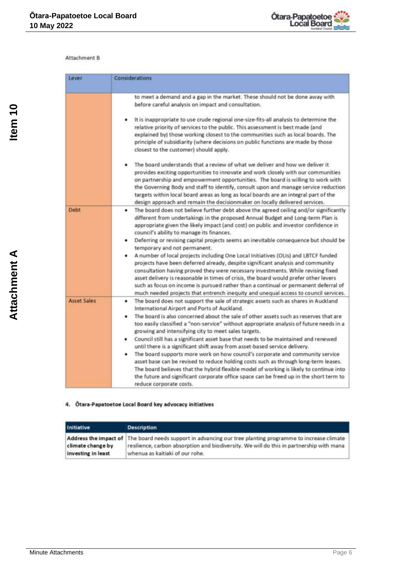

| Lever              | Considerations                                                                                                                                                                                                                                                                                                                                                                                                                                                                                                                                                                                                                                                    |  |  |  |
|--------------------|-------------------------------------------------------------------------------------------------------------------------------------------------------------------------------------------------------------------------------------------------------------------------------------------------------------------------------------------------------------------------------------------------------------------------------------------------------------------------------------------------------------------------------------------------------------------------------------------------------------------------------------------------------------------|--|--|--|
|                    | to meet a demand and a gap in the market. These should not be done away with<br>before careful analysis on impact and consultation.<br>It is inappropriate to use crude regional one-size-fits-all analysis to determine the<br>٠<br>relative priority of services to the public. This assessment is best made (and                                                                                                                                                                                                                                                                                                                                               |  |  |  |
|                    | explained by) those working closest to the communities such as local boards. The<br>principle of subsidiarity (where decisions on public functions are made by those<br>closest to the customer) should apply.                                                                                                                                                                                                                                                                                                                                                                                                                                                    |  |  |  |
|                    | The board understands that a review of what we deliver and how we deliver it<br>provides exciting opportunities to innovate and work closely with our communities<br>on partnership and empowerment opportunities. The board is willing to work with<br>the Governing Body and staff to identify, consult upon and manage service reduction<br>targets within local board areas as long as local boards are an integral part of the<br>design approach and remain the decisionmaker on locally delivered services.                                                                                                                                                |  |  |  |
| Debt               | The board does not believe further debt above the agreed ceiling and/or significantly<br>٠<br>different from undertakings in the proposed Annual Budget and Long-term Plan is<br>appropriate given the likely impact (and cost) on public and investor confidence in<br>council's ability to manage its finances.                                                                                                                                                                                                                                                                                                                                                 |  |  |  |
|                    | Deferring or revising capital projects seems an inevitable consequence but should be<br>٠<br>temporary and not permanent.<br>A number of local projects including One Local Initiatives (OLIs) and LBTCF funded<br>٠<br>projects have been deferred already, despite significant analysis and community<br>consultation having proved they were necessary investments. While revising fixed<br>asset delivery is reasonable in times of crisis, the board would prefer other levers<br>such as focus on income is pursued rather than a continual or permanent deferral of<br>much needed projects that entrench inequity and unequal access to council services. |  |  |  |
| <b>Asset Sales</b> | The board does not support the sale of strategic assets such as shares in Auckland<br>٠<br>International Airport and Ports of Auckland.<br>The board is also concerned about the sale of other assets such as reserves that are<br>٠<br>too easily classified a "non-service" without appropriate analysis of future needs in a<br>growing and intensifying city to meet sales targets.                                                                                                                                                                                                                                                                           |  |  |  |
|                    | Council still has a significant asset base that needs to be maintained and renewed<br>٠<br>until there is a significant shift away from asset-based service delivery.<br>The board supports more work on how council's corporate and community service<br>٠<br>asset base can be revised to reduce holding costs such as through long-term leases.<br>The board believes that the hybrid flexible model of working is likely to continue into<br>the future and significant corporate office space can be freed up in the short term to<br>reduce corporate costs.                                                                                                |  |  |  |

## 4. Ötara-Papatoetoe Local Board key advocacy initiatives

| Initiative                              | <b>Description</b>                                                                                                                                                                                                                          |
|-----------------------------------------|---------------------------------------------------------------------------------------------------------------------------------------------------------------------------------------------------------------------------------------------|
| climate change by<br>investing in least | Address the impact of   The board needs support in advancing our tree planting programme to increase climate<br>resilience, carbon absorption and biodiversity. We will do this in partnership with mana<br>whenua as kaitiaki of our rohe. |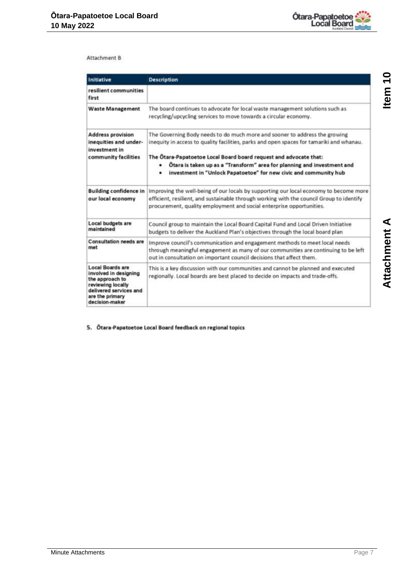

| Initiative                                                                                                                                                                                                                                                                                                                                                                                                                                                                                | <b>Description</b>                                                                                                                                                                                                                                        |  |  |
|-------------------------------------------------------------------------------------------------------------------------------------------------------------------------------------------------------------------------------------------------------------------------------------------------------------------------------------------------------------------------------------------------------------------------------------------------------------------------------------------|-----------------------------------------------------------------------------------------------------------------------------------------------------------------------------------------------------------------------------------------------------------|--|--|
| resilient communities<br>first                                                                                                                                                                                                                                                                                                                                                                                                                                                            |                                                                                                                                                                                                                                                           |  |  |
| <b>Waste Management</b>                                                                                                                                                                                                                                                                                                                                                                                                                                                                   | The board continues to advocate for local waste management solutions such as<br>recycling/upcycling services to move towards a circular economy.                                                                                                          |  |  |
| The Governing Body needs to do much more and sooner to address the growing<br><b>Address provision</b><br>inequities and under-<br>inequity in access to quality facilities, parks and open spaces for tamariki and whanau.<br>investment in<br>The Otara-Papatoetoe Local Board board request and advocate that:<br>community facilities<br>Otara is taken up as a "Transform" area for planning and investment and<br>investment in "Unlock Papatoetoe" for new civic and community hub |                                                                                                                                                                                                                                                           |  |  |
| <b>Building confidence in</b><br>our local economy                                                                                                                                                                                                                                                                                                                                                                                                                                        | Improving the well-being of our locals by supporting our local economy to become more<br>efficient, resilient, and sustainable through working with the council Group to identify<br>procurement, quality employment and social enterprise opportunities. |  |  |
| Local budgets are<br>maintained                                                                                                                                                                                                                                                                                                                                                                                                                                                           | Council group to maintain the Local Board Capital Fund and Local Driven Initiative<br>budgets to deliver the Auckland Plan's objectives through the local board plan                                                                                      |  |  |
| <b>Consultation needs are</b><br>met                                                                                                                                                                                                                                                                                                                                                                                                                                                      | Improve council's communication and engagement methods to meet local needs<br>through meaningful engagement as many of our communities are continuing to be left<br>out in consultation on important council decisions that affect them.                  |  |  |
| <b>Local Boards are</b><br>This is a key discussion with our communities and cannot be planned and executed<br>involved in designing<br>regionally. Local boards are best placed to decide on impacts and trade-offs.<br>the approach to<br>reviewing locally<br>delivered services and<br>are the primary<br>decision-maker                                                                                                                                                              |                                                                                                                                                                                                                                                           |  |  |

5. Ötara-Papatoetoe Local Board feedback on regional topics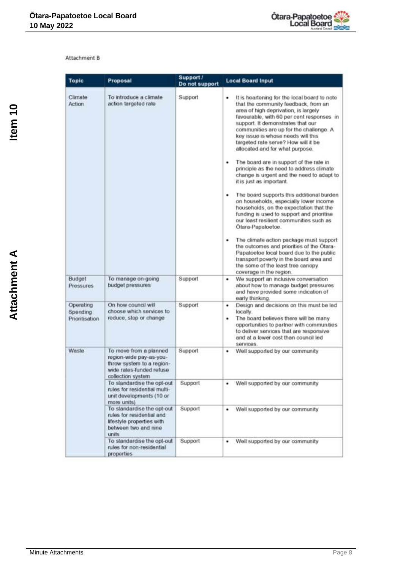

| Topic                                   | Proposal                                                                                                                        | Support /<br>Do not support | <b>Local Board Input</b>                                                                                                                                                                                                                                                                                                                                                                                                                                                                                                                                                                                                                                                                                                                                                                                                                                                                                                                                                                                                         |
|-----------------------------------------|---------------------------------------------------------------------------------------------------------------------------------|-----------------------------|----------------------------------------------------------------------------------------------------------------------------------------------------------------------------------------------------------------------------------------------------------------------------------------------------------------------------------------------------------------------------------------------------------------------------------------------------------------------------------------------------------------------------------------------------------------------------------------------------------------------------------------------------------------------------------------------------------------------------------------------------------------------------------------------------------------------------------------------------------------------------------------------------------------------------------------------------------------------------------------------------------------------------------|
| Climate<br>Action                       | To introduce a climate<br>action targeted rate                                                                                  | Support                     | It is heartening for the local board to note<br>٠<br>that the community feedback, from an<br>area of high deprivation, is largely<br>favourable, with 60 per cent responses in<br>support. It demonstrates that our<br>communities are up for the challenge. A<br>key issue is whose needs will this<br>targeted rate serve? How will it be<br>allocated and for what purpose.<br>The board are in support of the rate in<br>٠<br>principle as the need to address climate<br>change is urgent and the need to adapt to<br>it is just as important.<br>The board supports this additional burden<br>٠<br>on households, especially lower income<br>households, on the expectation that the<br>funding is used to support and prioritise<br>our least resilient communities such as<br>Otara-Papatoetoe.<br>The climate action package must support<br>٠<br>the outcomes and priorities of the Otara-<br>Papatoetoe local board due to the public<br>transport poverty in the board area and<br>the some of the least tree canopy |
| Budget<br>Pressures                     | To manage on-going<br>budget pressures                                                                                          | Support                     | coverage in the region.<br>We support an inclusive conversation<br>٠<br>about how to manage budget pressures                                                                                                                                                                                                                                                                                                                                                                                                                                                                                                                                                                                                                                                                                                                                                                                                                                                                                                                     |
|                                         |                                                                                                                                 |                             | and have provided some indication of<br>early thinking.                                                                                                                                                                                                                                                                                                                                                                                                                                                                                                                                                                                                                                                                                                                                                                                                                                                                                                                                                                          |
| Operating<br>Spending<br>Prioritisation | On how council will<br>choose which services to<br>reduce, stop or change                                                       | Support                     | Design and decisions on this must be led<br>٠<br>locally.<br>The board believes there will be many<br>٠<br>opportunities to partner with communities<br>to deliver services that are responsive<br>and at a lower cost than council led<br>services                                                                                                                                                                                                                                                                                                                                                                                                                                                                                                                                                                                                                                                                                                                                                                              |
| Waste                                   | To move from a planned<br>region-wide pay-as-you-<br>throw system to a region-<br>wide rates-funded refuse<br>collection system | Support                     | Well supported by our community<br>٠                                                                                                                                                                                                                                                                                                                                                                                                                                                                                                                                                                                                                                                                                                                                                                                                                                                                                                                                                                                             |
|                                         | To standardise the opt-out<br>rules for residential multi-<br>unit developments (10 or<br>more units)                           | Support                     | Well supported by our community                                                                                                                                                                                                                                                                                                                                                                                                                                                                                                                                                                                                                                                                                                                                                                                                                                                                                                                                                                                                  |
|                                         | To standardise the opt-out<br>rules for residential and<br>lifestyle properties with<br>between two and nine<br>units           | Support                     | Well supported by our community<br>٠                                                                                                                                                                                                                                                                                                                                                                                                                                                                                                                                                                                                                                                                                                                                                                                                                                                                                                                                                                                             |
|                                         | To standardise the opt-out<br>rules for non-residential<br>properties                                                           | Support                     | Well supported by our community<br>٠                                                                                                                                                                                                                                                                                                                                                                                                                                                                                                                                                                                                                                                                                                                                                                                                                                                                                                                                                                                             |